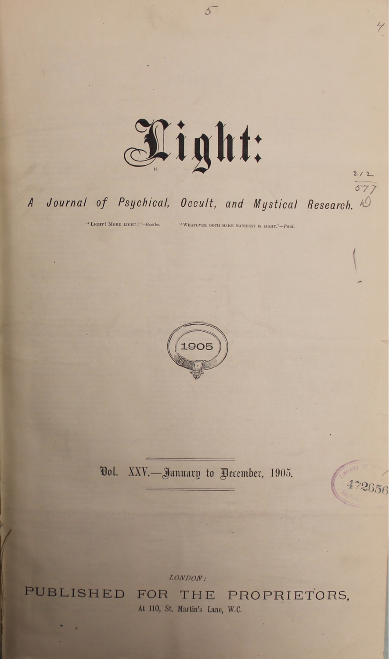

 $5^{-}$ 

## Journal of Psychical, Occult, and Mystical Research.  $\overline{A}$

" LIGHT ! MORE LIGHT !"-Goethe.

"WHATEVER DOTH MAKE MANIFEST IS LIGHT."-Paul.



Vol. XXV.-January to Pecember, 1905.

**PUBLISHED** 

LONDON: FOR THE PROPRIETORS, At 110, St. Martin's Lane, W.C.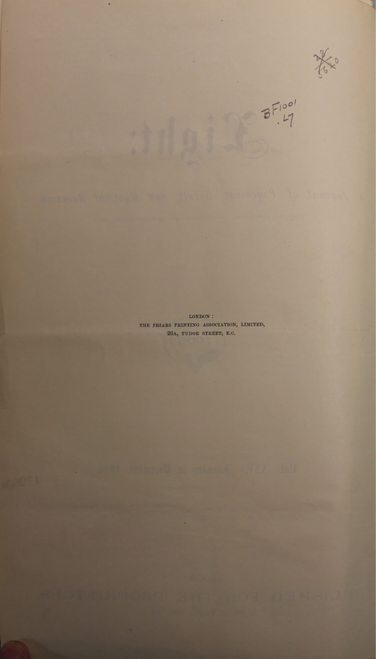the

 $B = 100$ 

**LONDON : THE FRIARS PRINTING ASSOCIATION, LIMITED 26A, TUDOR STREET, E.C.**

 $\ddot{\text{a}}$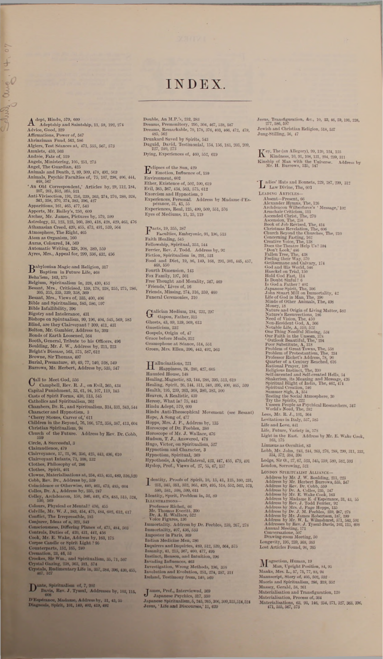$\mathbf{A}^{\text{dept, Hindu, 579, 600}}_{\text{Adaptship and Saintship, 11, 59, 192, 274}}$ <br>Advice, Good, 329<br>Affirmations, Power of, 567<br>Ahrinziman Fund, 563, 586 Algiers, Test Séances at, 471, 555, 567, 573<br>Amulets, 459, 563<br>Andrée, Fate of, 519<br>Andrée, Fate of, 519<br>Angels, Ministering, 105, 251, 273<br>Angels, Ministering, 105, 251, 273<br>Animals and Death, 2, 80, 300, 478, 491, 503<br>An ' An Old Correspondent,' Articles by, 29, 112, 184, 01d Correspondent,' Articles by, 29, 122, 345, 421, 4114, 216, 229, 293, 293, 293, 293, 293, 293, 294, Appartitions, 161, 465, 477, 543<br>
Appartitions, 161, 465, 477, 543  $\begin{tabular}{l} \textbf{D} {abytonian Magica and Religion, 317} \\\textbf{D} {abytonian In Future Life, 468} \\\textbf{Beha'ssm, 163, 175} \\\textbf{Belagium, Spiritalism in, 328, 430, 453} \\\textbf{Besant, Mrs., Criticised, 150, 178, 228, 255, 275, 280, 280, 305, 307, 308, 308, 308, 308, 308, 309, 400 \\\textbf{Bible and Spiritualsm, 685, 680,$ Bishops on Spiritualism, 99, 196, 404, 545, 560, 585<br>Bind, are they Clairroyant 7 309, 411, 431<br>Bolton, Mr. Gambier, Address to, 303<br>Bolton, Mr. Gambier, Address to, 303<br>Boods of Earth Loosened, 564<br>Boodh, General, Tribut  $\bigodot$  C campbell, Rev. R. J., on Evil, 365, 434<br>Capital Punishment, 33, 61, 94, 107, 119, 143<br>Casts of Spirit Forms, 430, 513, 441<br>Cats of Spirit Forms, 430, 513, 445<br>Catholics and Spiritualism, 292<br>Chambers, Dr. R., and Circle, A Successful, 3<br>Clairaudience, 479<br>Clairvoyance, 17, 21, 96, 356, 425, 443, 496, 610<br>Clairvoyante Infants, 71, 108, 132<br>Clothes, Philosophy of, 206<br>Clothes, Spirit, 401<br>Clowne, Materialisations at, 254, 415, 451, 4 Cobb, Rev. Dr., Address by, 550<br>
Cohiclience or Otherwise, 440, 461, 473, 485, 604<br>
Colles, Dr. A., Address by, 225, 247<br>
Colley, Archideacon, 158, 346, 440, 478, 483, 515, 524<br>
Colley, Archideacon, 158, 346, 440, 478, 48

 $\overline{\phantom{a}}$ 

go  $\beta$ 

Burg  $\overline{C}$ 

Dante, Spiritualism of, 7, 202<br>
Davis, Rev. J. Tyssul, Addresses by, 103, 115,

**D'Espftrance, Aladame, Address by, 81, 43, 55 Diagnosis, Spirit, 101, 140, 402, 419, 492**

## INDEX

**Double, An M.P.'s, 232, 283 Dreams, Premonitory, 295, 304, 467, 538, 587 Dreams, Remarkable, 70,178, 376, 403, 466, 472, 479,** 485, 502<br>Drunkard Saved by Spirits, 543<br>Duguid, David, Testimonial, 154, 156, 183, 203, 209,<br>227, 240, 273<br>Dying, Experiences of, 460, 552, 619

E **clipses of the Sun, 429 Emotion, Influence of, 159 Environment, 602** Ether, Existence of, 502, 500, 619<br>
Evil, 365, 867, 434, 563, 575, 612<br>
Exorcism and Hypnotism, 9<br>
Experiences, Personal. Address by Madame d'Es-<br>
pérnuce, 31, 43, 55<br>
Experiences, Real, 125, 400, 500, 551, 576 **Eyes of Mediums, 11,35,119**

 $\prod_{\text{vnew} \in \mathbb{N}}$  19, 355, 387<br>Faith Healing, 545<br>Faith Healing, 545<br>Ferlowship, Spiritual, 353, 544<br>Ferrier, Rev. J. Todd. Address by, 92<br>Fiction, Spiritualism in, 291, 531<br>Food and Diet, 19, 86, 149, 168, 291, 301, 44 Fourth Dimension, 143<br>Fox Family, 197, 501<br>Free Thought and Morality, 347, 469<br>'Friends, 'Lives of, 16<br>Funeral Ceremonies, 310<br>Funeral Ceremonies, 310

G **alician Medium, 194, 232, 297 Gapon, Father, 315 Ghosts, 43, 89, 139, 569, 613 Gnosticism, 232** Gospels, Origin of, 47<br>Grace before Meals, 312<br>Gramophone at Séance, 514, 551<br>Green, Mrs. Ellen, 396, 443, 492, 563

 $\begin{array}{l} {\bf H}\text{ allviations, 221}\\ \text{Happiness, 24, 290, 427, 605}\\ \text{Haating, Magnetic, 38, 144, 288, 293, 513, 619}\\ \text{Healing, Napinets, 83, 144, 288, 293, 613, 619}\\ \text{Heating, Spirit, 26, 144, 311, 348, 395, 400, 465, 629\\ \text{Heaven, A Realistic, 439}\\ \text{Hereven, A Realistic, 439}\\ \text{Hencey, What is? 75, 40$ 

I **dentity, Proofs of Spirit, 10, 15, 41, 125, 160, 231, - 251, 345, 351, 352, 365, 429, 495, 514, 552, 562, 575, 580, 581, 598, 599, 611 Identity, Spirit, Problem in, 52, 80 Illustrations—**  $\begin{array}{l} \mbox{Protessor Richets, 63} \\ \mbox{Dr. A. R. Wallace, 622} \\ \mbox{Dr. A. R. Waldace, 522} \\ \mbox{Vole Figures, 136} \\ \mbox{Immortality, Adtres by Dr. Peebles, 239, 267, 278} \\ \mbox{Immortality, 407, 436, 533} \\ \mbox{Impostor in Paris, 309} \\ \mbox{Indian Medicine Men, 296} \end{array}$ Inquires and Inquiries,  $450, 512, 530, 564, 575$ <br>Insanity, 41, 215, 307, 460, 477, 495<br>Instinct, Reason, and Intuition, 206<br>Invading Influences, 463<br>Invading Influences, 463<br>Involtion and Evolution, 251, 274, 287, 31<br>Ire

 $\begin{array}{l} \textbf{J} \text{ames, Prof., Interviewed, 300} \\ \textbf{J} \text{ Japanese Psychology, 317, 350} \\ \textbf{Japanese spiritualism, 5, 245, 265, 506, 300, 325, 514, 521} \\ \textbf{Jesus, 'Life and Discountres,' 11, 620} \end{array}$ 

**Jesus, Transfiguration, Ac., 10, 23, 40, 59,191, 228, 277,586,597 Jewish anil Christian Religion, 518, 537 Jung-Stilling, 36, 47**

 $K$ ey, The (an Allegory), 99, 120, 124, 155<br>Kinship of Man with the Universe.  $\frac{334}{294}$ , 239, 311<br>Kinship of Man with the Universe. Address by<br>Mr. H. Burrows, 535, 547

L **allies' Hats and Bonnets, 229, 287, 299, 312 Law Divine, The, 603 Leading Articles—** Absent<br/>—Present, 60 $\label{eq:2} \begin{minipage}[t]{0.9\textwidth} A] = \text{Nons} \\ \text{Arrevaler Hymns, The, 126}\\ \text{Arneclacon Wilberfore's `Mesauge,' 102}\\ \text{Arneclair Criticism, 511}\\ \text{Arneclair Criticism, 511}\\ \text{Ascendic diffin, 511}\\ \text{Ascendic Thins, 76; 70\\ \text{Carreimig Pasting, 102}\\ \text{Converming Fasting, 102}\\ \text{Converming Fasting, 102}\\ \text{Converming Fasting, 10$ Nature's Resurrections, 188<br>
Morel Contentions, The, 450<br>
Non-Reisdent God, A, 369<br>
Non-Reisdent God, A, 369<br>
One Thing Needful Missing, 534<br>
One Thing Needful Missing, 534<br>
Our Faith in the Unseen, 378<br>  $^{\circ}$ Our Faith i **Light in the East. Address by Air. E. Wake Cook, 163,175** Linnæus as Occultist, 83<br>Lobb, Mr. John, 243, 244, 263, 276, 288, 299, 311, 333<br>334, 372, 384, 380<br>London, Sorrowing, 521, 545, 559, 589, 582, 593<br>London, Sorrowing, 521 Lo<br/>NONOS S'IUAITAT ALLAINCE.<br>THAIRINE AN CHAIRINGE, 211, 223 Address by Mr. Herbert Burrows, 535, 847<br>Address by Mr. Herbert Burrows, 535, 847<br>Address by Der. Dr. Colbb, 559<br><br/> $25$  Address by Mr. A. Colles, 225, 24

 $\begin{array}{l} \displaystyle \mathbf{M}^{\text{augretian, I} \text{Humun, I} } \text{19} \\ \text{Mam, U prigh 1} \\ \text{Manks, Mrs, L., 57, 75, 77, 83, 94} \\ \text{Manuscript, Story of, 405, 622.} \\ \text{Manuscript, Story of, 405, 622, 522.} \\ \text{Mooris and Spiritualism, 299, 319, 352} \\ \text{Masterialisation and Transformation, 120} \\ \text{Materialisation, Process of, 364} \\ \text{Materialisation, Process of, 364} \\ \text{$